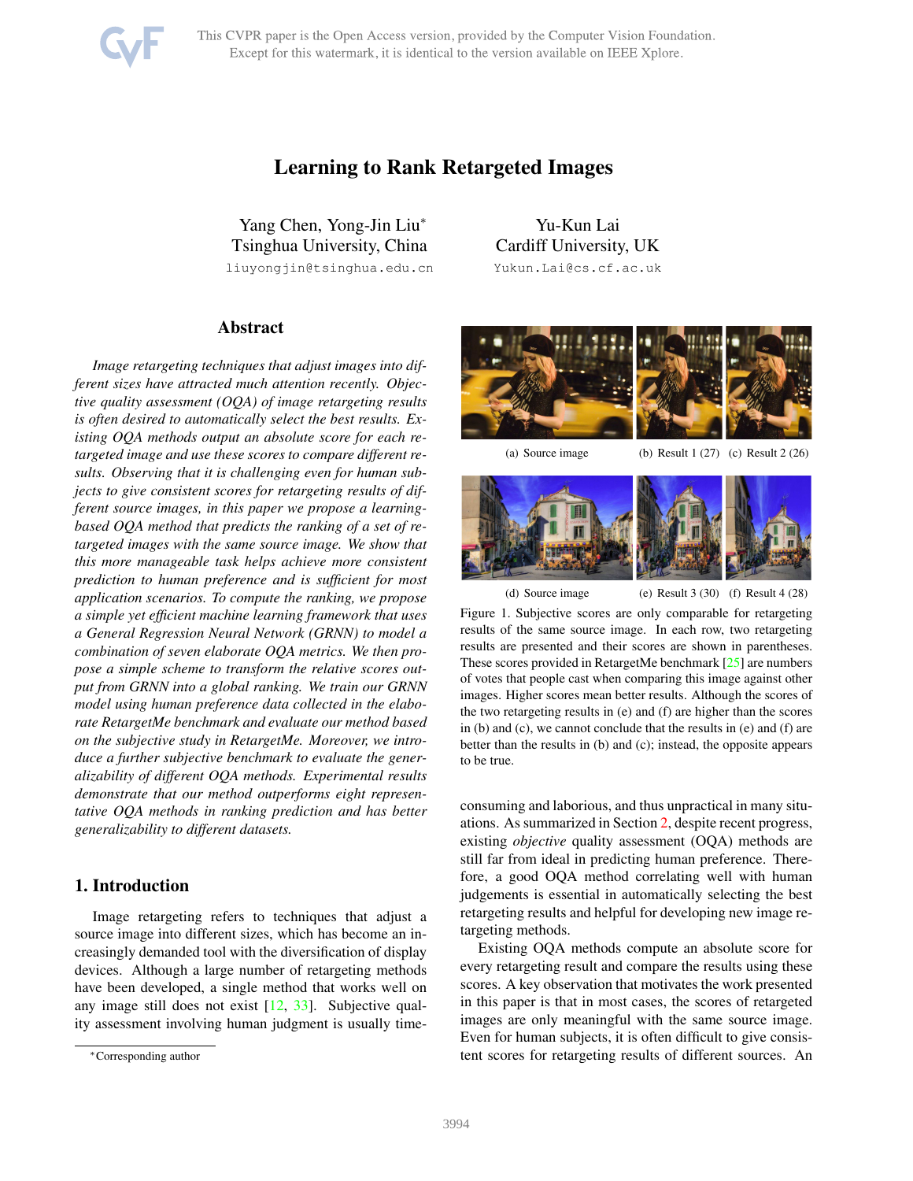# Learning to Rank Retargeted Images

<span id="page-0-1"></span>Yang Chen, Yong-Jin Liu<sup>∗</sup> Tsinghua University, China

liuyongjin@tsinghua.edu.cn

## Abstract

*Image retargeting techniques that adjust images into different sizes have attracted much attention recently. Objective quality assessment (OQA) of image retargeting results is often desired to automatically select the best results. Existing OQA methods output an absolute score for each retargeted image and use these scores to compare different results. Observing that it is challenging even for human subjects to give consistent scores for retargeting results of different source images, in this paper we propose a learningbased OQA method that predicts the ranking of a set of retargeted images with the same source image. We show that this more manageable task helps achieve more consistent prediction to human preference and is sufficient for most application scenarios. To compute the ranking, we propose a simple yet efficient machine learning framework that uses a General Regression Neural Network (GRNN) to model a combination of seven elaborate OQA metrics. We then propose a simple scheme to transform the relative scores output from GRNN into a global ranking. We train our GRNN model using human preference data collected in the elaborate RetargetMe benchmark and evaluate our method based on the subjective study in RetargetMe. Moreover, we introduce a further subjective benchmark to evaluate the generalizability of different OQA methods. Experimental results demonstrate that our method outperforms eight representative OQA methods in ranking prediction and has better generalizability to different datasets.*

## 1. Introduction

Image retargeting refers to techniques that adjust a source image into different sizes, which has become an increasingly demanded tool with the diversification of display devices. Although a large number of retargeting methods have been developed, a single method that works well on any image still does not exist [\[12,](#page-8-0) [33\]](#page-8-1). Subjective quality assessment involving human judgment is usually time-

Yu-Kun Lai Cardiff University, UK Yukun.Lai@cs.cf.ac.uk



(d) Source image (e) Result  $3(30)$  (f) Result  $4(28)$ 

<span id="page-0-0"></span>Figure 1. Subjective scores are only comparable for retargeting results of the same source image. In each row, two retargeting results are presented and their scores are shown in parentheses. These scores provided in RetargetMe benchmark [\[25\]](#page-8-2) are numbers of votes that people cast when comparing this image against other images. Higher scores mean better results. Although the scores of the two retargeting results in (e) and (f) are higher than the scores in (b) and (c), we cannot conclude that the results in (e) and (f) are better than the results in (b) and (c); instead, the opposite appears to be true.

consuming and laborious, and thus unpractical in many situations. As summarized in Section [2,](#page-1-0) despite recent progress, existing *objective* quality assessment (OQA) methods are still far from ideal in predicting human preference. Therefore, a good OQA method correlating well with human judgements is essential in automatically selecting the best retargeting results and helpful for developing new image retargeting methods.

Existing OQA methods compute an absolute score for every retargeting result and compare the results using these scores. A key observation that motivates the work presented in this paper is that in most cases, the scores of retargeted images are only meaningful with the same source image. Even for human subjects, it is often difficult to give consistent scores for retargeting results of different sources. An

<sup>∗</sup>Corresponding author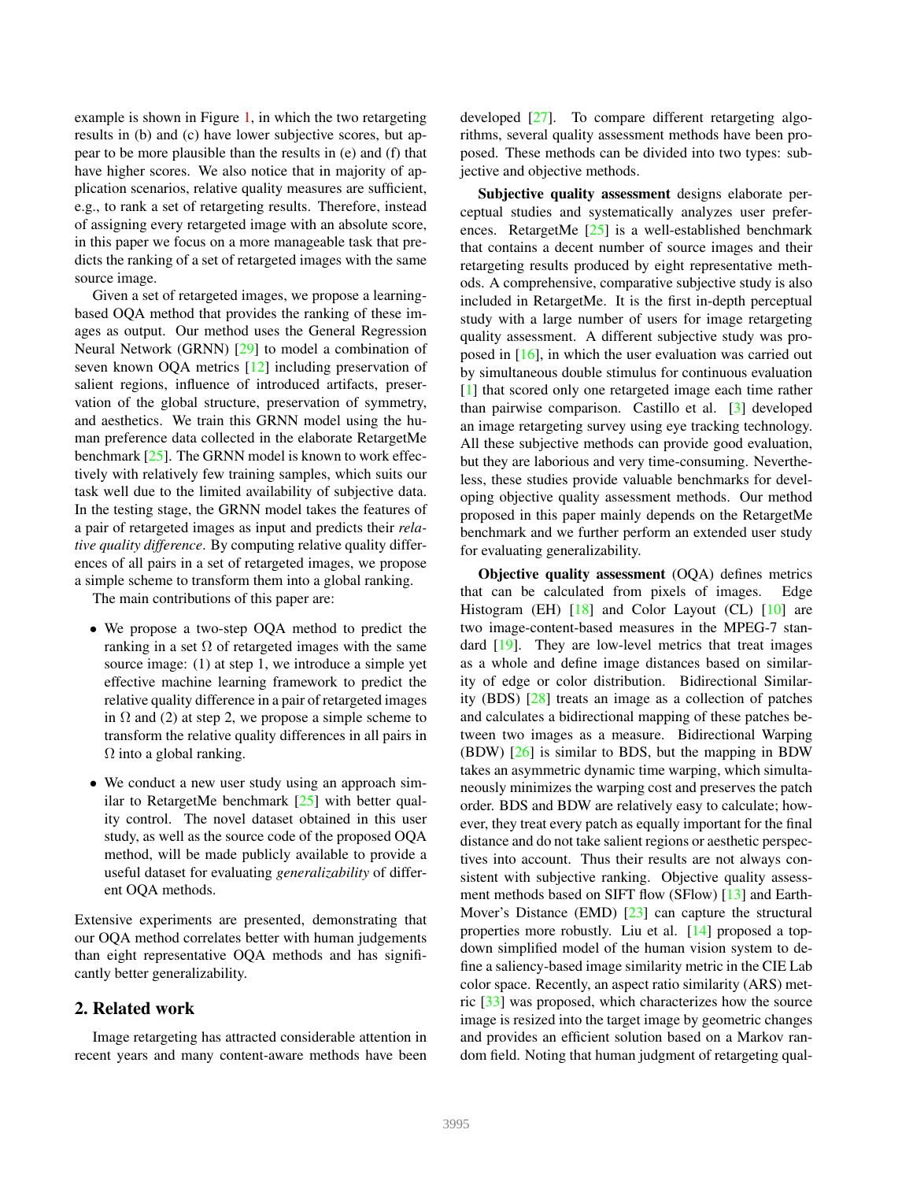<span id="page-1-1"></span>example is shown in Figure [1,](#page-0-0) in which the two retargeting results in (b) and (c) have lower subjective scores, but appear to be more plausible than the results in (e) and (f) that have higher scores. We also notice that in majority of application scenarios, relative quality measures are sufficient, e.g., to rank a set of retargeting results. Therefore, instead of assigning every retargeted image with an absolute score, in this paper we focus on a more manageable task that predicts the ranking of a set of retargeted images with the same source image.

Given a set of retargeted images, we propose a learningbased OQA method that provides the ranking of these images as output. Our method uses the General Regression Neural Network (GRNN) [\[29\]](#page-8-3) to model a combination of seven known OQA metrics [\[12\]](#page-8-0) including preservation of salient regions, influence of introduced artifacts, preservation of the global structure, preservation of symmetry, and aesthetics. We train this GRNN model using the human preference data collected in the elaborate RetargetMe benchmark [\[25\]](#page-8-2). The GRNN model is known to work effectively with relatively few training samples, which suits our task well due to the limited availability of subjective data. In the testing stage, the GRNN model takes the features of a pair of retargeted images as input and predicts their *relative quality difference*. By computing relative quality differences of all pairs in a set of retargeted images, we propose a simple scheme to transform them into a global ranking.

The main contributions of this paper are:

- We propose a two-step OQA method to predict the ranking in a set  $\Omega$  of retargeted images with the same source image: (1) at step 1, we introduce a simple yet effective machine learning framework to predict the relative quality difference in a pair of retargeted images in  $\Omega$  and (2) at step 2, we propose a simple scheme to transform the relative quality differences in all pairs in  $\Omega$  into a global ranking.
- We conduct a new user study using an approach similar to RetargetMe benchmark  $[25]$  with better quality control. The novel dataset obtained in this user study, as well as the source code of the proposed OQA method, will be made publicly available to provide a useful dataset for evaluating *generalizability* of different OQA methods.

Extensive experiments are presented, demonstrating that our OQA method correlates better with human judgements than eight representative OQA methods and has significantly better generalizability.

## <span id="page-1-0"></span>2. Related work

Image retargeting has attracted considerable attention in recent years and many content-aware methods have been developed [\[27\]](#page-8-4). To compare different retargeting algorithms, several quality assessment methods have been proposed. These methods can be divided into two types: subjective and objective methods.

Subjective quality assessment designs elaborate perceptual studies and systematically analyzes user preferences. RetargetMe [\[25\]](#page-8-2) is a well-established benchmark that contains a decent number of source images and their retargeting results produced by eight representative methods. A comprehensive, comparative subjective study is also included in RetargetMe. It is the first in-depth perceptual study with a large number of users for image retargeting quality assessment. A different subjective study was proposed in [\[16\]](#page-8-5), in which the user evaluation was carried out by simultaneous double stimulus for continuous evaluation [\[1\]](#page-7-0) that scored only one retargeted image each time rather than pairwise comparison. Castillo et al. [\[3\]](#page-7-1) developed an image retargeting survey using eye tracking technology. All these subjective methods can provide good evaluation, but they are laborious and very time-consuming. Nevertheless, these studies provide valuable benchmarks for developing objective quality assessment methods. Our method proposed in this paper mainly depends on the RetargetMe benchmark and we further perform an extended user study for evaluating generalizability.

Objective quality assessment (OQA) defines metrics that can be calculated from pixels of images. Edge Histogram (EH) [\[18\]](#page-8-6) and Color Layout (CL) [\[10\]](#page-8-7) are two image-content-based measures in the MPEG-7 standard [\[19\]](#page-8-8). They are low-level metrics that treat images as a whole and define image distances based on similarity of edge or color distribution. Bidirectional Similarity (BDS) [\[28\]](#page-8-9) treats an image as a collection of patches and calculates a bidirectional mapping of these patches between two images as a measure. Bidirectional Warping (BDW) [\[26\]](#page-8-10) is similar to BDS, but the mapping in BDW takes an asymmetric dynamic time warping, which simultaneously minimizes the warping cost and preserves the patch order. BDS and BDW are relatively easy to calculate; however, they treat every patch as equally important for the final distance and do not take salient regions or aesthetic perspectives into account. Thus their results are not always consistent with subjective ranking. Objective quality assessment methods based on SIFT flow (SFlow) [\[13\]](#page-8-11) and Earth-Mover's Distance (EMD) [\[23\]](#page-8-12) can capture the structural properties more robustly. Liu et al. [\[14\]](#page-8-13) proposed a topdown simplified model of the human vision system to define a saliency-based image similarity metric in the CIE Lab color space. Recently, an aspect ratio similarity (ARS) metric [\[33\]](#page-8-1) was proposed, which characterizes how the source image is resized into the target image by geometric changes and provides an efficient solution based on a Markov random field. Noting that human judgment of retargeting qual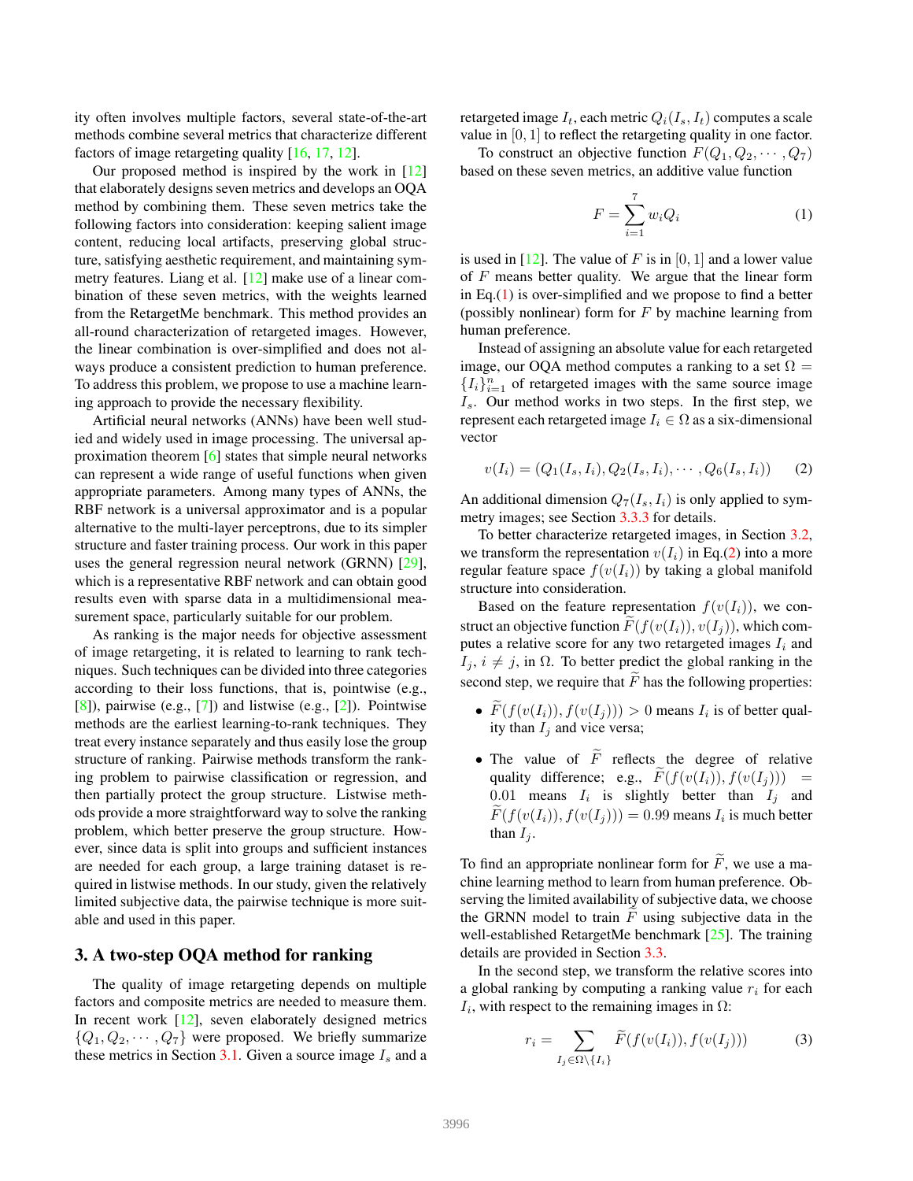<span id="page-2-3"></span>ity often involves multiple factors, several state-of-the-art methods combine several metrics that characterize different factors of image retargeting quality [\[16,](#page-8-5) [17,](#page-8-14) [12\]](#page-8-0).

Our proposed method is inspired by the work in [\[12\]](#page-8-0) that elaborately designs seven metrics and develops an OQA method by combining them. These seven metrics take the following factors into consideration: keeping salient image content, reducing local artifacts, preserving global structure, satisfying aesthetic requirement, and maintaining symmetry features. Liang et al. [\[12\]](#page-8-0) make use of a linear combination of these seven metrics, with the weights learned from the RetargetMe benchmark. This method provides an all-round characterization of retargeted images. However, the linear combination is over-simplified and does not always produce a consistent prediction to human preference. To address this problem, we propose to use a machine learning approach to provide the necessary flexibility.

Artificial neural networks (ANNs) have been well studied and widely used in image processing. The universal approximation theorem [\[6\]](#page-8-15) states that simple neural networks can represent a wide range of useful functions when given appropriate parameters. Among many types of ANNs, the RBF network is a universal approximator and is a popular alternative to the multi-layer perceptrons, due to its simpler structure and faster training process. Our work in this paper uses the general regression neural network (GRNN) [\[29\]](#page-8-3), which is a representative RBF network and can obtain good results even with sparse data in a multidimensional measurement space, particularly suitable for our problem.

As ranking is the major needs for objective assessment of image retargeting, it is related to learning to rank techniques. Such techniques can be divided into three categories according to their loss functions, that is, pointwise (e.g.,  $[8]$ ), pairwise (e.g.,  $[7]$ ) and listwise (e.g.,  $[2]$ ). Pointwise methods are the earliest learning-to-rank techniques. They treat every instance separately and thus easily lose the group structure of ranking. Pairwise methods transform the ranking problem to pairwise classification or regression, and then partially protect the group structure. Listwise methods provide a more straightforward way to solve the ranking problem, which better preserve the group structure. However, since data is split into groups and sufficient instances are needed for each group, a large training dataset is required in listwise methods. In our study, given the relatively limited subjective data, the pairwise technique is more suitable and used in this paper.

## 3. A two-step OQA method for ranking

The quality of image retargeting depends on multiple factors and composite metrics are needed to measure them. In recent work [\[12\]](#page-8-0), seven elaborately designed metrics  ${Q_1, Q_2, \cdots, Q_7}$  were proposed. We briefly summarize these metrics in Section [3.1.](#page-3-0) Given a source image  $I_s$  and a

retargeted image  $I_t$ , each metric  $Q_i(I_s, I_t)$  computes a scale value in [0, 1] to reflect the retargeting quality in one factor.

To construct an objective function  $F(Q_1, Q_2, \cdots, Q_7)$ based on these seven metrics, an additive value function

<span id="page-2-0"></span>
$$
F = \sum_{i=1}^{7} w_i Q_i \tag{1}
$$

is used in  $[12]$ . The value of F is in  $[0, 1]$  and a lower value of  $F$  means better quality. We argue that the linear form in Eq. $(1)$  is over-simplified and we propose to find a better (possibly nonlinear) form for  $F$  by machine learning from human preference.

Instead of assigning an absolute value for each retargeted image, our OQA method computes a ranking to a set  $\Omega =$  ${I_i}_{i=1}^n$  of retargeted images with the same source image  $I_s$ . Our method works in two steps. In the first step, we represent each retargeted image  $I_i \in \Omega$  as a six-dimensional vector

<span id="page-2-1"></span>
$$
v(I_i) = (Q_1(I_s, I_i), Q_2(I_s, I_i), \cdots, Q_6(I_s, I_i))
$$
 (2)

An additional dimension  $Q_7(I_s, I_i)$  is only applied to symmetry images; see Section [3.3.3](#page-4-0) for details.

To better characterize retargeted images, in Section [3.2,](#page-3-1) we transform the representation  $v(I_i)$  in Eq.[\(2\)](#page-2-1) into a more regular feature space  $f(v(I_i))$  by taking a global manifold structure into consideration.

Based on the feature representation  $f(v(I_i))$ , we construct an objective function  $F(f(v(I_i)), v(I_i))$ , which computes a relative score for any two retargeted images  $I_i$  and  $I_j$ ,  $i \neq j$ , in  $\Omega$ . To better predict the global ranking in the second step, we require that  $\overline{F}$  has the following properties:

- $F(f(v(I_i)), f(v(I_j))) > 0$  means  $I_i$  is of better quality than  $I_i$  and vice versa;
- The value of  $\tilde{F}$  reflects the degree of relative quality difference; e.g.,  $\widetilde{F}(f(v(I_i)), f(v(I_j))) =$ 0.01 means  $I_i$  is slightly better than  $I_j$  and  $F(f(v(I_i)), f(v(I_j))) = 0.99$  means  $I_i$  is much better than  $I_i$ .

To find an appropriate nonlinear form for  $\widetilde{F}$ , we use a machine learning method to learn from human preference. Observing the limited availability of subjective data, we choose the GRNN model to train  $F$  using subjective data in the well-established RetargetMe benchmark [\[25\]](#page-8-2). The training details are provided in Section [3.3.](#page-4-1)

In the second step, we transform the relative scores into a global ranking by computing a ranking value  $r_i$  for each  $I_i$ , with respect to the remaining images in  $\Omega$ :

<span id="page-2-2"></span>
$$
r_i = \sum_{I_j \in \Omega \setminus \{I_i\}} \widetilde{F}(f(v(I_i)), f(v(I_j))) \tag{3}
$$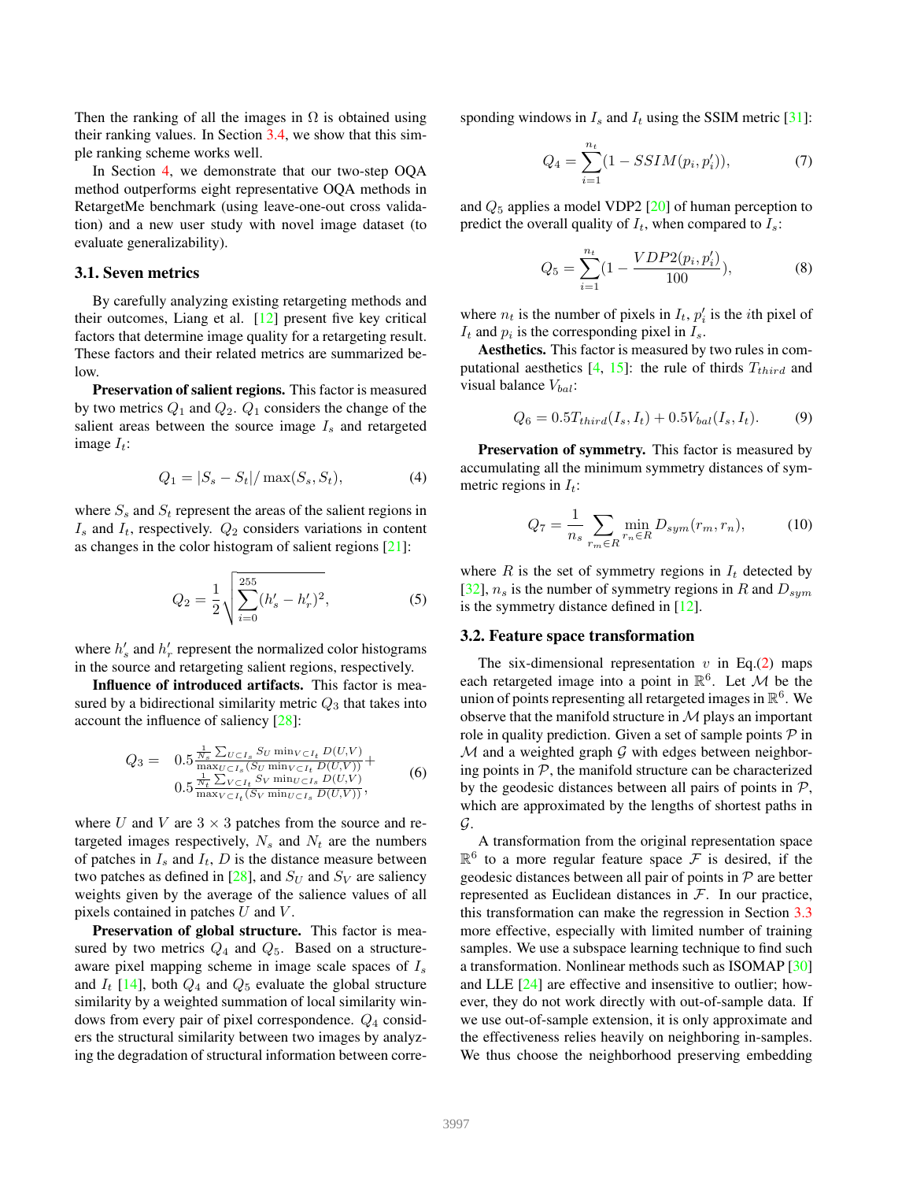<span id="page-3-3"></span>Then the ranking of all the images in  $\Omega$  is obtained using their ranking values. In Section [3.4,](#page-5-0) we show that this simple ranking scheme works well.

In Section [4,](#page-5-1) we demonstrate that our two-step OQA method outperforms eight representative OQA methods in RetargetMe benchmark (using leave-one-out cross validation) and a new user study with novel image dataset (to evaluate generalizability).

### <span id="page-3-0"></span>3.1. Seven metrics

By carefully analyzing existing retargeting methods and their outcomes, Liang et al. [\[12\]](#page-8-0) present five key critical factors that determine image quality for a retargeting result. These factors and their related metrics are summarized below.

Preservation of salient regions. This factor is measured by two metrics  $Q_1$  and  $Q_2$ .  $Q_1$  considers the change of the salient areas between the source image  $I_s$  and retargeted image  $I_t$ :

$$
Q_1 = |S_s - S_t| / \max(S_s, S_t), \tag{4}
$$

where  $S_s$  and  $S_t$  represent the areas of the salient regions in  $I_s$  and  $I_t$ , respectively.  $Q_2$  considers variations in content as changes in the color histogram of salient regions [\[21\]](#page-8-18):

$$
Q_2 = \frac{1}{2} \sqrt{\sum_{i=0}^{255} (h_s' - h_r')^2},\tag{5}
$$

where  $h'_s$  and  $h'_r$  represent the normalized color histograms in the source and retargeting salient regions, respectively.

Influence of introduced artifacts. This factor is measured by a bidirectional similarity metric  $Q_3$  that takes into account the influence of saliency [\[28\]](#page-8-9):

$$
Q_3 = 0.5 \frac{\frac{1}{N_s} \sum_{U \subset I_s} S_U \min_{V \subset I_t} D(U, V)}{\max_{U \subset I_s} (S_U \min_{V \subset I_t} D(U, V))} + 0.5 \frac{\frac{1}{N_t} \sum_{V \subset I_t} S_V \min_{U \subset I_s} D(U, V)}{\max_{V \subset I_t} (S_V \min_{U \subset I_s} D(U, V))},
$$
 (6)

where U and V are  $3 \times 3$  patches from the source and retargeted images respectively,  $N_s$  and  $N_t$  are the numbers of patches in  $I_s$  and  $I_t$ ,  $D$  is the distance measure between two patches as defined in [\[28\]](#page-8-9), and  $S_U$  and  $S_V$  are saliency weights given by the average of the salience values of all pixels contained in patches  $U$  and  $V$ .

Preservation of global structure. This factor is measured by two metrics  $Q_4$  and  $Q_5$ . Based on a structureaware pixel mapping scheme in image scale spaces of  $I_s$ and  $I_t$  [\[14\]](#page-8-13), both  $Q_4$  and  $Q_5$  evaluate the global structure similarity by a weighted summation of local similarity windows from every pair of pixel correspondence.  $Q_4$  considers the structural similarity between two images by analyzing the degradation of structural information between corresponding windows in  $I_s$  and  $I_t$  using the SSIM metric [\[31\]](#page-8-19):

$$
Q_4 = \sum_{i=1}^{n_t} (1 - SSIM(p_i, p'_i)), \tag{7}
$$

and  $Q_5$  applies a model VDP2 [\[20\]](#page-8-20) of human perception to predict the overall quality of  $I_t$ , when compared to  $I_s$ :

$$
Q_5 = \sum_{i=1}^{n_t} \left(1 - \frac{VDP2(p_i, p'_i)}{100}\right),\tag{8}
$$

where  $n_t$  is the number of pixels in  $I_t$ ,  $p'_i$  is the *i*th pixel of  $I_t$  and  $p_i$  is the corresponding pixel in  $I_s$ .

Aesthetics. This factor is measured by two rules in computational aesthetics  $[4, 15]$  $[4, 15]$  $[4, 15]$ : the rule of thirds  $T_{third}$  and visual balance  $V_{bal}$ :

$$
Q_6 = 0.5T_{third}(I_s, I_t) + 0.5V_{bal}(I_s, I_t). \tag{9}
$$

Preservation of symmetry. This factor is measured by accumulating all the minimum symmetry distances of symmetric regions in  $I_t$ :

<span id="page-3-2"></span>
$$
Q_7 = \frac{1}{n_s} \sum_{r_m \in R} \min_{r_n \in R} D_{sym}(r_m, r_n), \tag{10}
$$

where  $R$  is the set of symmetry regions in  $I_t$  detected by [\[32\]](#page-8-22),  $n_s$  is the number of symmetry regions in R and  $D_{sym}$ is the symmetry distance defined in [\[12\]](#page-8-0).

#### <span id="page-3-1"></span>3.2. Feature space transformation

The six-dimensional representation  $v$  in Eq.[\(2\)](#page-2-1) maps each retargeted image into a point in  $\mathbb{R}^6$ . Let M be the union of points representing all retargeted images in  $\mathbb{R}^6$ . We observe that the manifold structure in  $M$  plays an important role in quality prediction. Given a set of sample points  $P$  in  $M$  and a weighted graph  $G$  with edges between neighboring points in  $P$ , the manifold structure can be characterized by the geodesic distances between all pairs of points in  $P$ , which are approximated by the lengths of shortest paths in G.

A transformation from the original representation space  $\mathbb{R}^6$  to a more regular feature space  $\mathcal F$  is desired, if the geodesic distances between all pair of points in  $P$  are better represented as Euclidean distances in  $F$ . In our practice, this transformation can make the regression in Section [3.3](#page-4-1) more effective, especially with limited number of training samples. We use a subspace learning technique to find such a transformation. Nonlinear methods such as ISOMAP [\[30\]](#page-8-23) and LLE [\[24\]](#page-8-24) are effective and insensitive to outlier; however, they do not work directly with out-of-sample data. If we use out-of-sample extension, it is only approximate and the effectiveness relies heavily on neighboring in-samples. We thus choose the neighborhood preserving embedding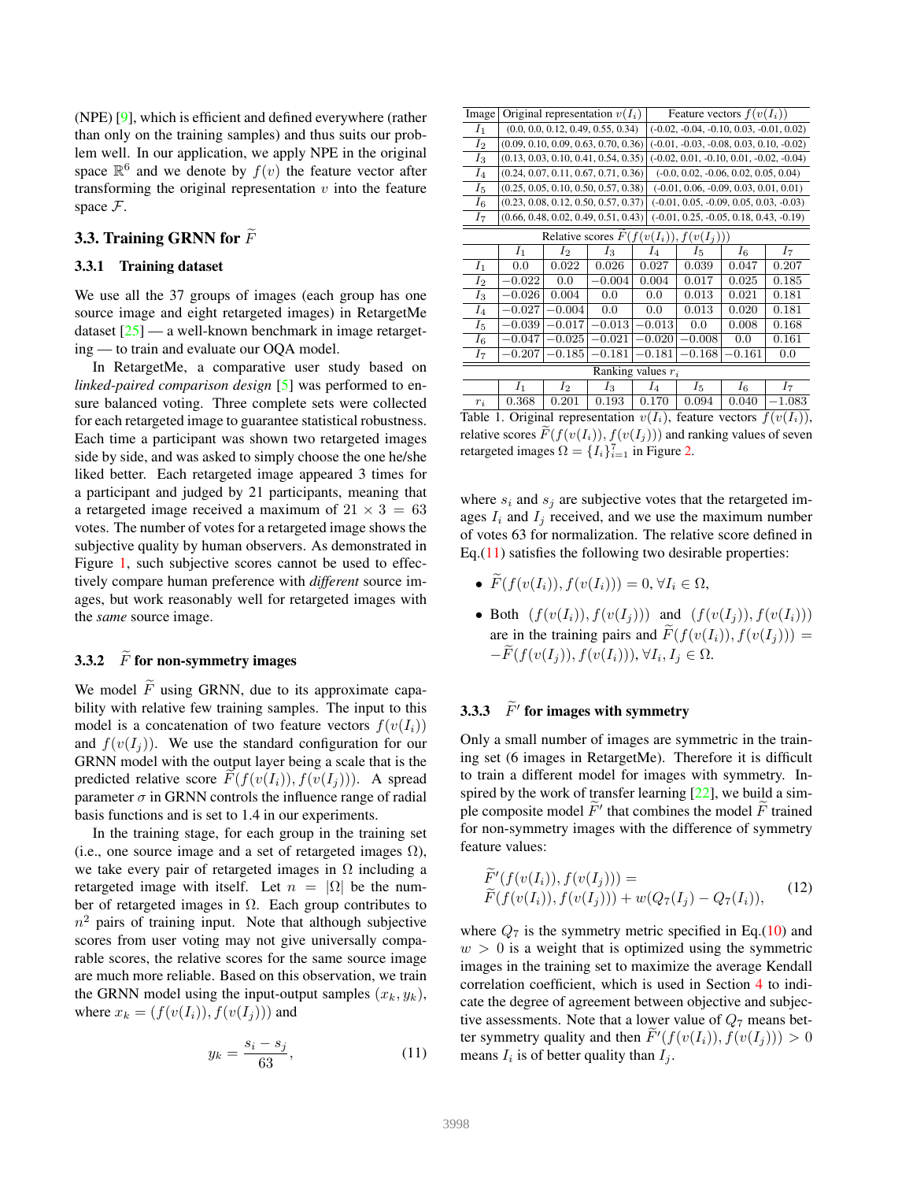<span id="page-4-5"></span>(NPE) [\[9\]](#page-8-25), which is efficient and defined everywhere (rather than only on the training samples) and thus suits our problem well. In our application, we apply NPE in the original space  $\mathbb{R}^6$  and we denote by  $f(v)$  the feature vector after transforming the original representation  $v$  into the feature space  $\mathcal{F}$ .

## <span id="page-4-1"></span>3.3. Training GRNN for  $\widetilde{F}$

### 3.3.1 Training dataset

We use all the 37 groups of images (each group has one source image and eight retargeted images) in RetargetMe dataset  $[25]$  — a well-known benchmark in image retargeting — to train and evaluate our OQA model.

In RetargetMe, a comparative user study based on *linked-paired comparison design* [\[5\]](#page-7-4) was performed to ensure balanced voting. Three complete sets were collected for each retargeted image to guarantee statistical robustness. Each time a participant was shown two retargeted images side by side, and was asked to simply choose the one he/she liked better. Each retargeted image appeared 3 times for a participant and judged by 21 participants, meaning that a retargeted image received a maximum of  $21 \times 3 = 63$ votes. The number of votes for a retargeted image shows the subjective quality by human observers. As demonstrated in Figure [1,](#page-0-0) such subjective scores cannot be used to effectively compare human preference with *different* source images, but work reasonably well for retargeted images with the *same* source image.

## 3.3.2  $\widetilde{F}$  for non-symmetry images

We model  $\widetilde{F}$  using GRNN, due to its approximate capability with relative few training samples. The input to this model is a concatenation of two feature vectors  $f(v(I_i))$ and  $f(v(I_i))$ . We use the standard configuration for our GRNN model with the output layer being a scale that is the predicted relative score  $F(f(v(I_i)), f(v(I_j)))$ . A spread parameter  $\sigma$  in GRNN controls the influence range of radial basis functions and is set to 1.4 in our experiments.

In the training stage, for each group in the training set (i.e., one source image and a set of retargeted images  $\Omega$ ), we take every pair of retargeted images in  $\Omega$  including a retargeted image with itself. Let  $n = |\Omega|$  be the number of retargeted images in  $\Omega$ . Each group contributes to  $n<sup>2</sup>$  pairs of training input. Note that although subjective scores from user voting may not give universally comparable scores, the relative scores for the same source image are much more reliable. Based on this observation, we train the GRNN model using the input-output samples  $(x_k, y_k)$ , where  $x_k = (f(v(I_i)), f(v(I_i)))$  and

<span id="page-4-2"></span>
$$
y_k = \frac{s_i - s_j}{63},\tag{11}
$$

| Image          |                | Original representation $v(I_i)$                                                  |              |       | Feature vectors $f(v(I_i))$                |            |       |  |  |  |
|----------------|----------------|-----------------------------------------------------------------------------------|--------------|-------|--------------------------------------------|------------|-------|--|--|--|
| $I_1$          |                | (0.0, 0.0, 0.12, 0.49, 0.55, 0.34)                                                |              |       | $(-0.02, -0.04, -0.10, 0.03, -0.01, 0.02)$ |            |       |  |  |  |
| I <sub>2</sub> |                | (0.09, 0.10, 0.09, 0.63, 0.70, 0.36)                                              |              |       | $(-0.01, -0.03, -0.08, 0.03, 0.10, -0.02)$ |            |       |  |  |  |
| $I_3$          |                | (0.13, 0.03, 0.10, 0.41, 0.54, 0.35)                                              |              |       | $(-0.02, 0.01, -0.10, 0.01, -0.02, -0.04)$ |            |       |  |  |  |
| I4             |                | (0.24, 0.07, 0.11, 0.67, 0.71, 0.36)                                              |              |       | $(-0.0, 0.02, -0.06, 0.02, 0.05, 0.04)$    |            |       |  |  |  |
| $I_{5}$        |                | (0.25, 0.05, 0.10, 0.50, 0.57, 0.38)                                              |              |       | $(-0.01, 0.06, -0.09, 0.03, 0.01, 0.01)$   |            |       |  |  |  |
| I6             |                | (0.23, 0.08, 0.12, 0.50, 0.57, 0.37)                                              |              |       | $(-0.01, 0.05, -0.09, 0.05, 0.03, -0.03)$  |            |       |  |  |  |
| I7             |                | (0.66, 0.48, 0.02, 0.49, 0.51, 0.43)<br>$(-0.01, 0.25, -0.05, 0.18, 0.43, -0.19)$ |              |       |                                            |            |       |  |  |  |
|                |                | Relative scores $F(f(v(I_i)), f(v(I_j)))$                                         |              |       |                                            |            |       |  |  |  |
|                | I <sub>1</sub> | I2                                                                                | $I_3$        | $I_4$ | $I_5$                                      | $I_6$      | $I_7$ |  |  |  |
| $I_1$          | 0.0            | 0.022<br>0.026                                                                    |              | 0.027 | 0.039                                      | 0.047      | 0.207 |  |  |  |
| $I_2$          | 0.022          | 0.0                                                                               | $-0.004$     | 0.004 | 0.017                                      | 0.025      | 0.185 |  |  |  |
| $I_3$          | $-0.026$       | 0.004                                                                             | 0.0          | 0.0   | 0.013                                      | 0.021      | 0.181 |  |  |  |
| $I_4$          | $-0.027$       | -0.004                                                                            | 0.0          | 0.0   | 0.013                                      | 0.020      | 0.181 |  |  |  |
| $I_5$          | 0.039          | 0.017                                                                             | 0.013        | 0.013 | 0.0                                        | 0.008      | 0.168 |  |  |  |
| Τ.             | 0.047          | O ODE.                                                                            | <u>0.091</u> | വ വാ  | n nno                                      | <u>n n</u> | 0.161 |  |  |  |

| $\mathbf{r}$         | $U \cdot U \pm I$ | ⊤ ה⊿ט-י |       | $-U.041$   $-U.040$ | $-0.0001$ | v.v      | 0.101     |  |  |  |
|----------------------|-------------------|---------|-------|---------------------|-----------|----------|-----------|--|--|--|
| 17                   | 0.207             | 0.185   |       | $-0.181$ $-0.181$   | $-0.168$  | $-0.161$ | 0.0       |  |  |  |
| Ranking values $r_i$ |                   |         |       |                     |           |          |           |  |  |  |
|                      |                   | 12      | 13    |                     |           | 16       |           |  |  |  |
| $r_i$                | 0.368             | 0.201   | 0.193 | 0.170               | 0.094     | 0.040    | $1.083\,$ |  |  |  |
| $T - 1 - 1 -$<br>.   |                   |         |       |                     |           |          |           |  |  |  |

<span id="page-4-3"></span>Table 1. Original representation  $v(I_i)$ , feature vectors  $f(v(I_i))$ , relative scores  $F(f(v(I_i)), f(v(I_j)))$  and ranking values of seven retargeted images  $\Omega = \{I_i\}_{i=1}^7$  in Figure [2.](#page-5-2)

where  $s_i$  and  $s_j$  are subjective votes that the retargeted images  $I_i$  and  $I_j$  received, and we use the maximum number of votes 63 for normalization. The relative score defined in Eq. $(11)$  satisfies the following two desirable properties:

- $\widetilde{F}(f(v(I_i)), f(v(I_i))) = 0, \forall I_i \in \Omega,$
- Both  $(f(v(I_i)), f(v(I_j)))$  and  $(f(v(I_j)), f(v(I_i)))$ are in the training pairs and  $F(f(v(I_i)), f(v(I_j)))$  =  $-F(f(v(I_j)), f(v(I_i))), \forall I_i, I_j \in \Omega.$

# <span id="page-4-0"></span>3.3.3  $\tilde{F}'$  for images with symmetry

Only a small number of images are symmetric in the training set (6 images in RetargetMe). Therefore it is difficult to train a different model for images with symmetry. Inspired by the work of transfer learning  $[22]$ , we build a simple composite model  $\overline{F}'$  that combines the model  $\overline{F}$  trained for non-symmetry images with the difference of symmetry feature values:

<span id="page-4-4"></span>
$$
\widetilde{F}'(f(v(I_i)), f(v(I_j))) = \n\widetilde{F}(f(v(I_i)), f(v(I_j))) + w(Q_7(I_j) - Q_7(I_i)),
$$
\n(12)

where  $Q_7$  is the symmetry metric specified in Eq.[\(10\)](#page-3-2) and  $w > 0$  is a weight that is optimized using the symmetric images in the training set to maximize the average Kendall correlation coefficient, which is used in Section [4](#page-5-1) to indicate the degree of agreement between objective and subjective assessments. Note that a lower value of  $Q_7$  means better symmetry quality and then  $\overline{F}'(f(v(I_i)), f(v(I_j))) > 0$ means  $I_i$  is of better quality than  $I_j$ .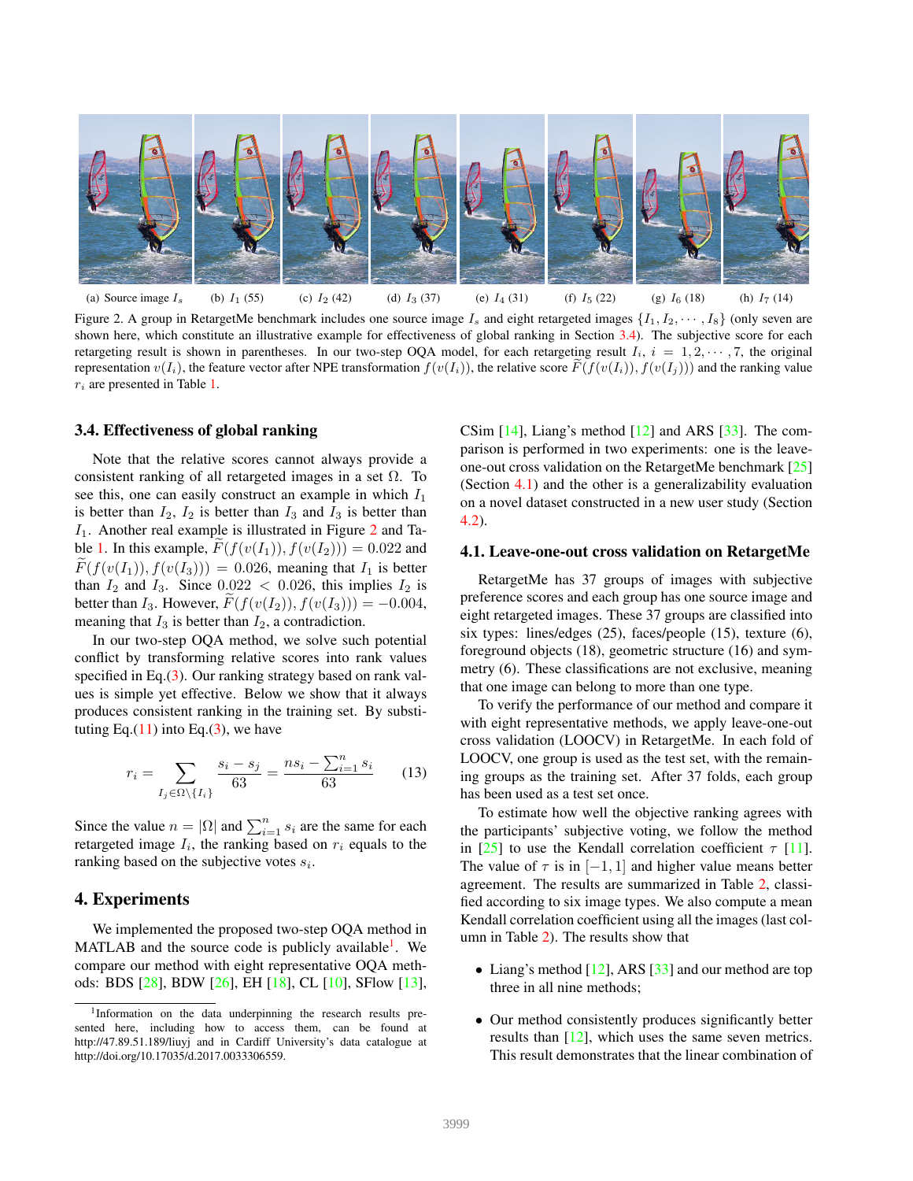<span id="page-5-5"></span>

<span id="page-5-2"></span>Figure 2. A group in RetargetMe benchmark includes one source image  $I_s$  and eight retargeted images  $\{I_1, I_2, \dots, I_8\}$  (only seven are shown here, which constitute an illustrative example for effectiveness of global ranking in Section [3.4\)](#page-5-0). The subjective score for each retargeting result is shown in parentheses. In our two-step OQA model, for each retargeting result  $I_i$ ,  $i = 1, 2, \dots, 7$ , the original representation  $v(I_i)$ , the feature vector after NPE transformation  $f(v(I_i))$ , the relative score  $F(f(v(I_i))$ ,  $f(v(I_j))$  and the ranking value  $r_i$  are presented in Table [1.](#page-4-3)

#### <span id="page-5-0"></span>3.4. Effectiveness of global ranking

Note that the relative scores cannot always provide a consistent ranking of all retargeted images in a set  $\Omega$ . To see this, one can easily construct an example in which  $I_1$ is better than  $I_2$ ,  $I_2$  is better than  $I_3$  and  $I_3$  is better than  $I_1$ . Another real example is illustrated in Figure [2](#page-5-2) and Ta-ble [1.](#page-4-3) In this example,  $F(f(v(I_1)), f(v(I_2))) = 0.022$  and  $F(f(v(I_1)), f(v(I_3))) = 0.026$ , meaning that  $I_1$  is better than  $I_2$  and  $I_3$ . Since  $0.022 < 0.026$ , this implies  $I_2$  is better than  $I_3$ . However,  $F(f(v(I_2)), f(v(I_3))) = -0.004$ , meaning that  $I_3$  is better than  $I_2$ , a contradiction.

In our two-step OQA method, we solve such potential conflict by transforming relative scores into rank values specified in Eq. $(3)$ . Our ranking strategy based on rank values is simple yet effective. Below we show that it always produces consistent ranking in the training set. By substituting Eq. $(11)$  into Eq. $(3)$ , we have

$$
r_i = \sum_{I_j \in \Omega \setminus \{I_i\}} \frac{s_i - s_j}{63} = \frac{ns_i - \sum_{i=1}^n s_i}{63} \tag{13}
$$

Since the value  $n = |\Omega|$  and  $\sum_{i=1}^{n} s_i$  are the same for each retargeted image  $I_i$ , the ranking based on  $r_i$  equals to the ranking based on the subjective votes  $s_i$ .

## <span id="page-5-1"></span>4. Experiments

We implemented the proposed two-step OQA method in MATLAB and the source code is publicly available<sup>[1](#page-5-3)</sup>. We compare our method with eight representative OQA methods: BDS [\[28\]](#page-8-9), BDW [\[26\]](#page-8-10), EH [\[18\]](#page-8-6), CL [\[10\]](#page-8-7), SFlow [\[13\]](#page-8-11),

CSim  $[14]$ , Liang's method  $[12]$  and ARS  $[33]$ . The comparison is performed in two experiments: one is the leaveone-out cross validation on the RetargetMe benchmark [\[25\]](#page-8-2) (Section [4.1\)](#page-5-4) and the other is a generalizability evaluation on a novel dataset constructed in a new user study (Section [4.2\)](#page-6-0).

#### <span id="page-5-4"></span>4.1. Leave-one-out cross validation on RetargetMe

RetargetMe has 37 groups of images with subjective preference scores and each group has one source image and eight retargeted images. These 37 groups are classified into six types: lines/edges (25), faces/people (15), texture (6), foreground objects (18), geometric structure (16) and symmetry (6). These classifications are not exclusive, meaning that one image can belong to more than one type.

To verify the performance of our method and compare it with eight representative methods, we apply leave-one-out cross validation (LOOCV) in RetargetMe. In each fold of LOOCV, one group is used as the test set, with the remaining groups as the training set. After 37 folds, each group has been used as a test set once.

To estimate how well the objective ranking agrees with the participants' subjective voting, we follow the method in [\[25\]](#page-8-2) to use the Kendall correlation coefficient  $\tau$  [\[11\]](#page-8-27). The value of  $\tau$  is in [−1, 1] and higher value means better agreement. The results are summarized in Table [2,](#page-6-1) classified according to six image types. We also compute a mean Kendall correlation coefficient using all the images (last column in Table [2\)](#page-6-1). The results show that

- Liang's method [\[12\]](#page-8-0), ARS [\[33\]](#page-8-1) and our method are top three in all nine methods;
- Our method consistently produces significantly better results than [\[12\]](#page-8-0), which uses the same seven metrics. This result demonstrates that the linear combination of

<span id="page-5-3"></span><sup>1</sup> Information on the data underpinning the research results presented here, including how to access them, can be found at http://47.89.51.189/liuyj and in Cardiff University's data catalogue at http://doi.org/10.17035/d.2017.0033306559.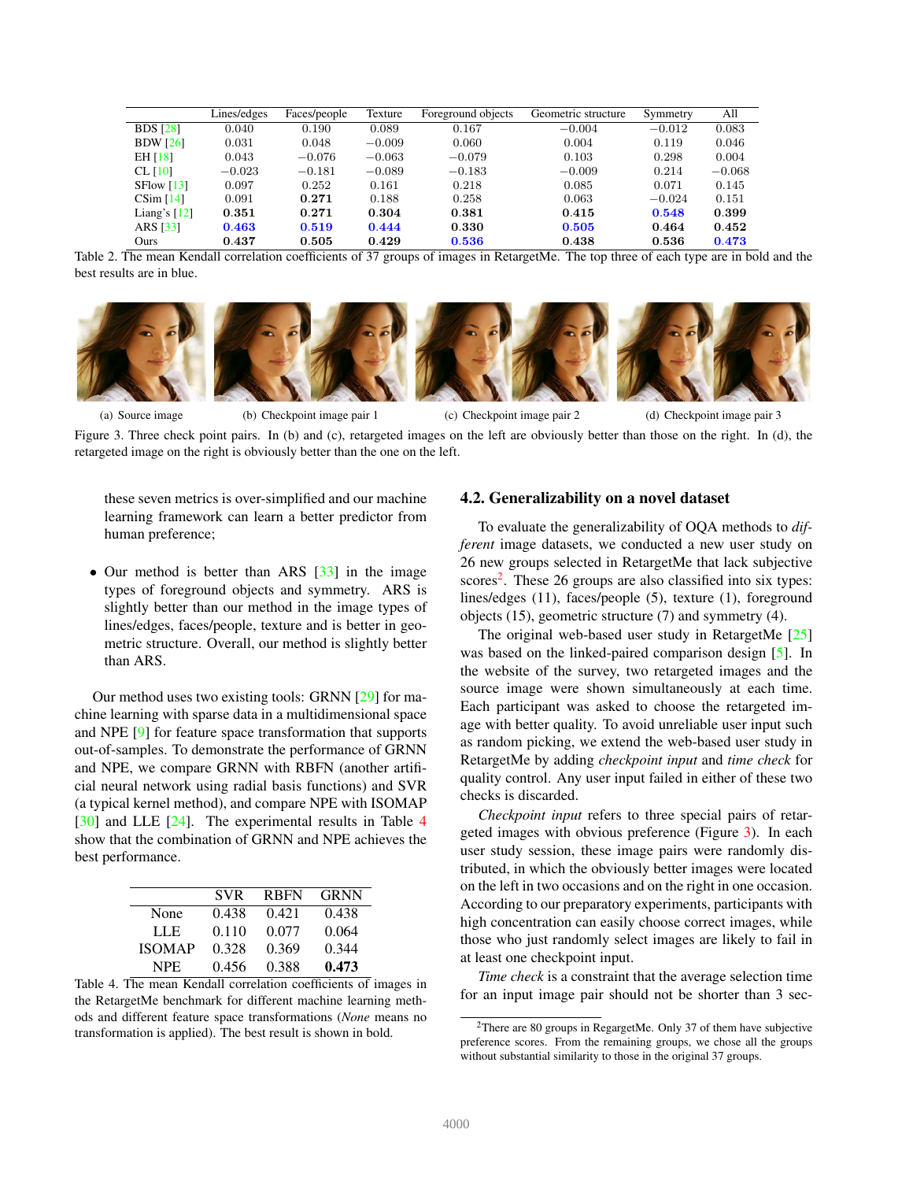<span id="page-6-5"></span>

|                 | Lines/edges | Faces/people | Texture  | Foreground objects | Geometric structure | Symmetry | All      |
|-----------------|-------------|--------------|----------|--------------------|---------------------|----------|----------|
| <b>BDS</b> [28] | 0.040       | 0.190        | 0.089    | 0.167              | $-0.004$            | $-0.012$ | 0.083    |
| BDW $[26]$      | 0.031       | 0.048        | $-0.009$ | 0.060              | 0.004               | 0.119    | 0.046    |
| EH [18]         | 0.043       | $-0.076$     | $-0.063$ | $-0.079$           | 0.103               | 0.298    | 0.004    |
| CL $[10]$       | $-0.023$    | $-0.181$     | $-0.089$ | $-0.183$           | $-0.009$            | 0.214    | $-0.068$ |
| SFlow [13]      | 0.097       | 0.252        | 0.161    | 0.218              | 0.085               | 0.071    | 0.145    |
| CSim [14]       | 0.091       | 0.271        | 0.188    | 0.258              | 0.063               | $-0.024$ | 0.151    |
| Liang's $[12]$  | 0.351       | 0.271        | 0.304    | 0.381              | 0.415               | 0.548    | 0.399    |
| ARS [33]        | 0.463       | 0.519        | 0.444    | 0.330              | 0.505               | 0.464    | 0.452    |
| Ours            | 0.437       | 0.505        | 0.429    | 0.536              | 0.438               | 0.536    | 0.473    |

<span id="page-6-1"></span>Table 2. The mean Kendall correlation coefficients of 37 groups of images in RetargetMe. The top three of each type are in bold and the best results are in blue.



<span id="page-6-4"></span>(a) Source image (b) Checkpoint image pair 1 (c) Checkpoint image pair 2 (d) Checkpoint image pair 3 Figure 3. Three check point pairs. In (b) and (c), retargeted images on the left are obviously better than those on the right. In (d), the retargeted image on the right is obviously better than the one on the left.

these seven metrics is over-simplified and our machine learning framework can learn a better predictor from human preference;

• Our method is better than ARS [\[33\]](#page-8-1) in the image types of foreground objects and symmetry. ARS is slightly better than our method in the image types of lines/edges, faces/people, texture and is better in geometric structure. Overall, our method is slightly better than ARS.

Our method uses two existing tools: GRNN [\[29\]](#page-8-3) for machine learning with sparse data in a multidimensional space and NPE [\[9\]](#page-8-25) for feature space transformation that supports out-of-samples. To demonstrate the performance of GRNN and NPE, we compare GRNN with RBFN (another artificial neural network using radial basis functions) and SVR (a typical kernel method), and compare NPE with ISOMAP [\[30\]](#page-8-23) and LLE [\[24\]](#page-8-24). The experimental results in Table [4](#page-6-2) show that the combination of GRNN and NPE achieves the best performance.

|               | <b>SVR</b> | <b>RBFN</b> | <b>GRNN</b> |
|---------------|------------|-------------|-------------|
| None          | 0.438      | 0.421       | 0.438       |
| LLE           | 0.110      | 0.077       | 0.064       |
| <b>ISOMAP</b> | 0.328      | 0.369       | 0.344       |
| NPE.          | 0.456      | 0.388       | 0.473       |

<span id="page-6-2"></span>Table 4. The mean Kendall correlation coefficients of images in the RetargetMe benchmark for different machine learning methods and different feature space transformations (*None* means no transformation is applied). The best result is shown in bold.

## <span id="page-6-0"></span>4.2. Generalizability on a novel dataset

To evaluate the generalizability of OQA methods to *different* image datasets, we conducted a new user study on 26 new groups selected in RetargetMe that lack subjective scores<sup>[2](#page-6-3)</sup>. These 26 groups are also classified into six types: lines/edges (11), faces/people (5), texture (1), foreground objects (15), geometric structure (7) and symmetry (4).

The original web-based user study in RetargetMe [\[25\]](#page-8-2) was based on the linked-paired comparison design [\[5\]](#page-7-4). In the website of the survey, two retargeted images and the source image were shown simultaneously at each time. Each participant was asked to choose the retargeted image with better quality. To avoid unreliable user input such as random picking, we extend the web-based user study in RetargetMe by adding *checkpoint input* and *time check* for quality control. Any user input failed in either of these two checks is discarded.

*Checkpoint input* refers to three special pairs of retargeted images with obvious preference (Figure [3\)](#page-6-4). In each user study session, these image pairs were randomly distributed, in which the obviously better images were located on the left in two occasions and on the right in one occasion. According to our preparatory experiments, participants with high concentration can easily choose correct images, while those who just randomly select images are likely to fail in at least one checkpoint input.

*Time check* is a constraint that the average selection time for an input image pair should not be shorter than 3 sec-

<span id="page-6-3"></span><sup>2</sup>There are 80 groups in RegargetMe. Only 37 of them have subjective preference scores. From the remaining groups, we chose all the groups without substantial similarity to those in the original 37 groups.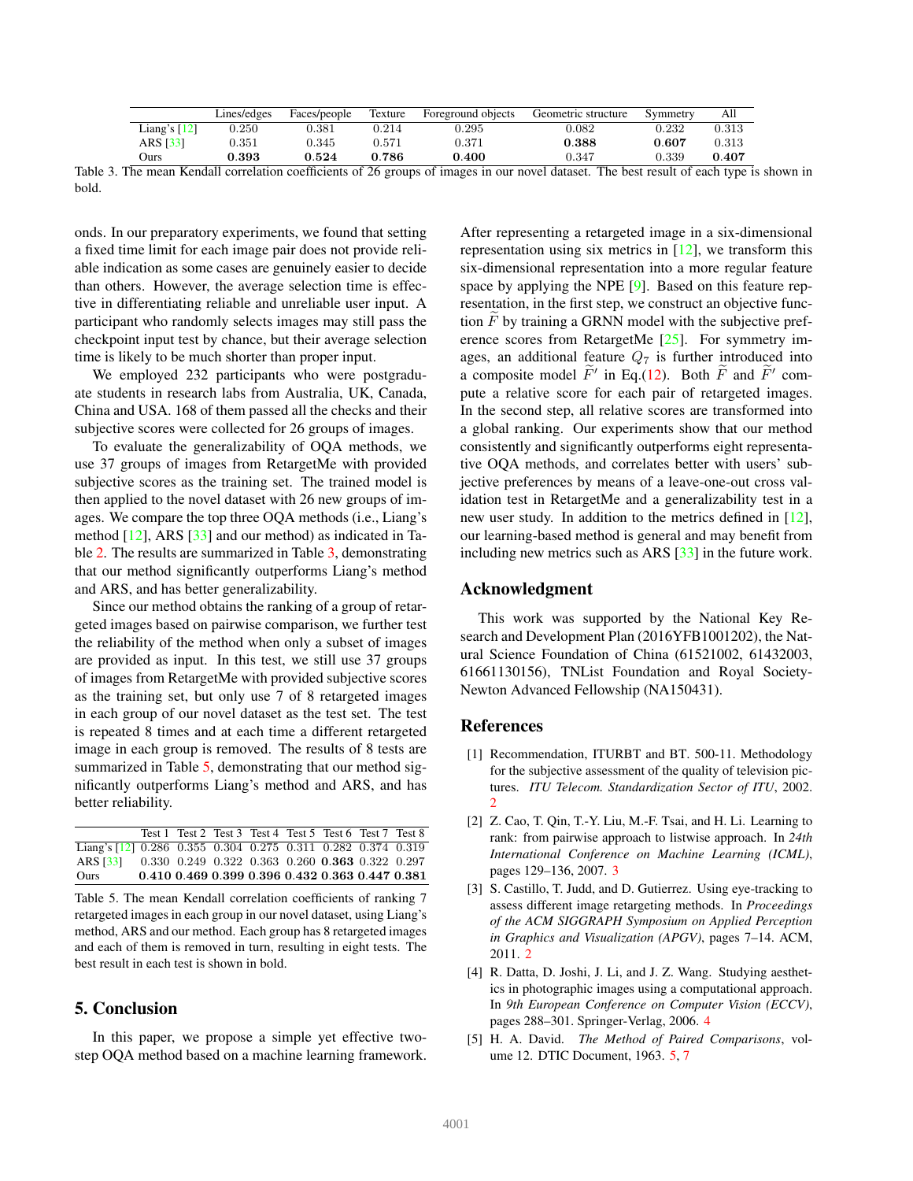<span id="page-7-7"></span>

|                | Lines/edges | Faces/people | Texture | Foreground objects | Geometric structure | Symmetry | All   |
|----------------|-------------|--------------|---------|--------------------|---------------------|----------|-------|
| Liang's $[12]$ | 0.250       | $_{0.381}$   | 0.214   | 0.295              | 0.082               | 0.232    | 0.313 |
| ARS [33]       | 0.351       | 0.345        | 0.571   | 0.371              | 0.388               | 0.607    | 0.313 |
| Ours           | 0.393       | 0.524        | 0.786   | 0.400              | 0.347               | 0.339    | 0.407 |

<span id="page-7-5"></span>Table 3. The mean Kendall correlation coefficients of 26 groups of images in our novel dataset. The best result of each type is shown in bold.

onds. In our preparatory experiments, we found that setting a fixed time limit for each image pair does not provide reliable indication as some cases are genuinely easier to decide than others. However, the average selection time is effective in differentiating reliable and unreliable user input. A participant who randomly selects images may still pass the checkpoint input test by chance, but their average selection time is likely to be much shorter than proper input.

We employed 232 participants who were postgraduate students in research labs from Australia, UK, Canada, China and USA. 168 of them passed all the checks and their subjective scores were collected for 26 groups of images.

To evaluate the generalizability of OQA methods, we use 37 groups of images from RetargetMe with provided subjective scores as the training set. The trained model is then applied to the novel dataset with 26 new groups of images. We compare the top three OQA methods (i.e., Liang's method [\[12\]](#page-8-0), ARS [\[33\]](#page-8-1) and our method) as indicated in Table [2.](#page-6-1) The results are summarized in Table [3,](#page-7-5) demonstrating that our method significantly outperforms Liang's method and ARS, and has better generalizability.

Since our method obtains the ranking of a group of retargeted images based on pairwise comparison, we further test the reliability of the method when only a subset of images are provided as input. In this test, we still use 37 groups of images from RetargetMe with provided subjective scores as the training set, but only use 7 of 8 retargeted images in each group of our novel dataset as the test set. The test is repeated 8 times and at each time a different retargeted image in each group is removed. The results of 8 tests are summarized in Table [5,](#page-7-6) demonstrating that our method significantly outperforms Liang's method and ARS, and has better reliability.

|                                                              |  |  | Test 1 Test 2 Test 3 Test 4 Test 5 Test 6 Test 7 Test 8         |                                                 |
|--------------------------------------------------------------|--|--|-----------------------------------------------------------------|-------------------------------------------------|
| Liang's [12] 0.286 0.355 0.304 0.275 0.311 0.282 0.374 0.319 |  |  |                                                                 |                                                 |
| ARS [33]                                                     |  |  | $0.330$ $0.249$ $0.322$ $0.363$ $0.260$ $0.363$ $0.322$ $0.297$ |                                                 |
| Ours                                                         |  |  |                                                                 | 0.410 0.469 0.399 0.396 0.432 0.363 0.447 0.381 |

<span id="page-7-6"></span>Table 5. The mean Kendall correlation coefficients of ranking 7 retargeted images in each group in our novel dataset, using Liang's method, ARS and our method. Each group has 8 retargeted images and each of them is removed in turn, resulting in eight tests. The best result in each test is shown in bold.

## 5. Conclusion

In this paper, we propose a simple yet effective twostep OQA method based on a machine learning framework. After representing a retargeted image in a six-dimensional representation using six metrics in  $[12]$ , we transform this six-dimensional representation into a more regular feature space by applying the NPE [\[9\]](#page-8-25). Based on this feature representation, in the first step, we construct an objective function  $F$  by training a GRNN model with the subjective preference scores from RetargetMe [\[25\]](#page-8-2). For symmetry images, an additional feature  $Q_7$  is further introduced into a composite model  $\tilde{F}'$  in Eq.[\(12\)](#page-4-4). Both  $\tilde{F}$  and  $\tilde{F}'$  compute a relative score for each pair of retargeted images. In the second step, all relative scores are transformed into a global ranking. Our experiments show that our method consistently and significantly outperforms eight representative OQA methods, and correlates better with users' subjective preferences by means of a leave-one-out cross validation test in RetargetMe and a generalizability test in a new user study. In addition to the metrics defined in [\[12\]](#page-8-0), our learning-based method is general and may benefit from including new metrics such as ARS [\[33\]](#page-8-1) in the future work.

## Acknowledgment

This work was supported by the National Key Research and Development Plan (2016YFB1001202), the Natural Science Foundation of China (61521002, 61432003, 61661130156), TNList Foundation and Royal Society-Newton Advanced Fellowship (NA150431).

## References

- <span id="page-7-0"></span>[1] Recommendation, ITURBT and BT. 500-11. Methodology for the subjective assessment of the quality of television pictures. *ITU Telecom. Standardization Sector of ITU*, 2002. [2](#page-1-1)
- <span id="page-7-2"></span>[2] Z. Cao, T. Qin, T.-Y. Liu, M.-F. Tsai, and H. Li. Learning to rank: from pairwise approach to listwise approach. In *24th International Conference on Machine Learning (ICML)*, pages 129–136, 2007. [3](#page-2-3)
- <span id="page-7-1"></span>[3] S. Castillo, T. Judd, and D. Gutierrez. Using eye-tracking to assess different image retargeting methods. In *Proceedings of the ACM SIGGRAPH Symposium on Applied Perception in Graphics and Visualization (APGV)*, pages 7–14. ACM, 2011. [2](#page-1-1)
- <span id="page-7-3"></span>[4] R. Datta, D. Joshi, J. Li, and J. Z. Wang. Studying aesthetics in photographic images using a computational approach. In *9th European Conference on Computer Vision (ECCV)*, pages 288–301. Springer-Verlag, 2006. [4](#page-3-3)
- <span id="page-7-4"></span>[5] H. A. David. *The Method of Paired Comparisons*, volume 12. DTIC Document, 1963. [5,](#page-4-5) [7](#page-6-5)